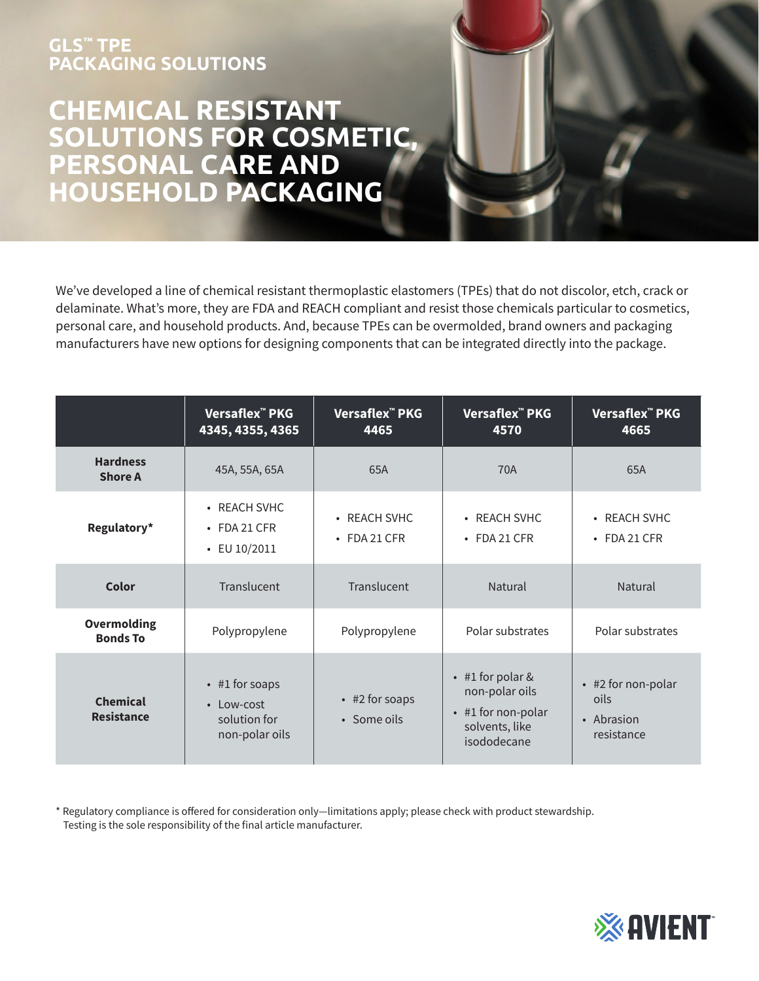## **GLS™ TPE PACKAGING SOLUTIONS**

## **CHEMICAL RESISTANT SOLUTIONS FOR COSMETIC, PERSONAL CARE AND HOUSEHOLD PACKAGING**

We've developed a line of chemical resistant thermoplastic elastomers (TPEs) that do not discolor, etch, crack or delaminate. What's more, they are FDA and REACH compliant and resist those chemicals particular to cosmetics, personal care, and household products. And, because TPEs can be overmolded, brand owners and packaging manufacturers have new options for designing components that can be integrated directly into the package.

|                                       | Versaflex <sup>™</sup> PKG<br>4345, 4355, 4365                             | Versaflex <sup>™</sup> PKG<br>4465 | Versaflex <sup>™</sup> PKG<br>4570                                                                    | Versaflex <sup>™</sup> PKG<br>4665                     |
|---------------------------------------|----------------------------------------------------------------------------|------------------------------------|-------------------------------------------------------------------------------------------------------|--------------------------------------------------------|
| <b>Hardness</b><br><b>Shore A</b>     | 45A, 55A, 65A                                                              | 65A                                | 70A                                                                                                   | 65A                                                    |
| Regulatory*                           | • REACH SVHC<br>$\cdot$ FDA 21 CFR<br>$\cdot$ EU 10/2011                   | • REACH SVHC<br>$\cdot$ FDA 21 CFR | • REACH SVHC<br>$\cdot$ FDA 21 CFR                                                                    | • REACH SVHC<br>$\cdot$ FDA 21 CFR                     |
| Color                                 | Translucent                                                                | Translucent                        | Natural                                                                                               | Natural                                                |
| <b>Overmolding</b><br><b>Bonds To</b> | Polypropylene                                                              | Polypropylene                      | Polar substrates                                                                                      | Polar substrates                                       |
| <b>Chemical</b><br><b>Resistance</b>  | $\cdot$ #1 for soaps<br>$\cdot$ Low-cost<br>solution for<br>non-polar oils | • #2 for soaps<br>• Some oils      | $\cdot$ #1 for polar &<br>non-polar oils<br>$\cdot$ #1 for non-polar<br>solvents, like<br>isododecane | • #2 for non-polar<br>oils<br>• Abrasion<br>resistance |

\* Regulatory compliance is offered for consideration only—limitations apply; please check with product stewardship. Testing is the sole responsibility of the final article manufacturer.